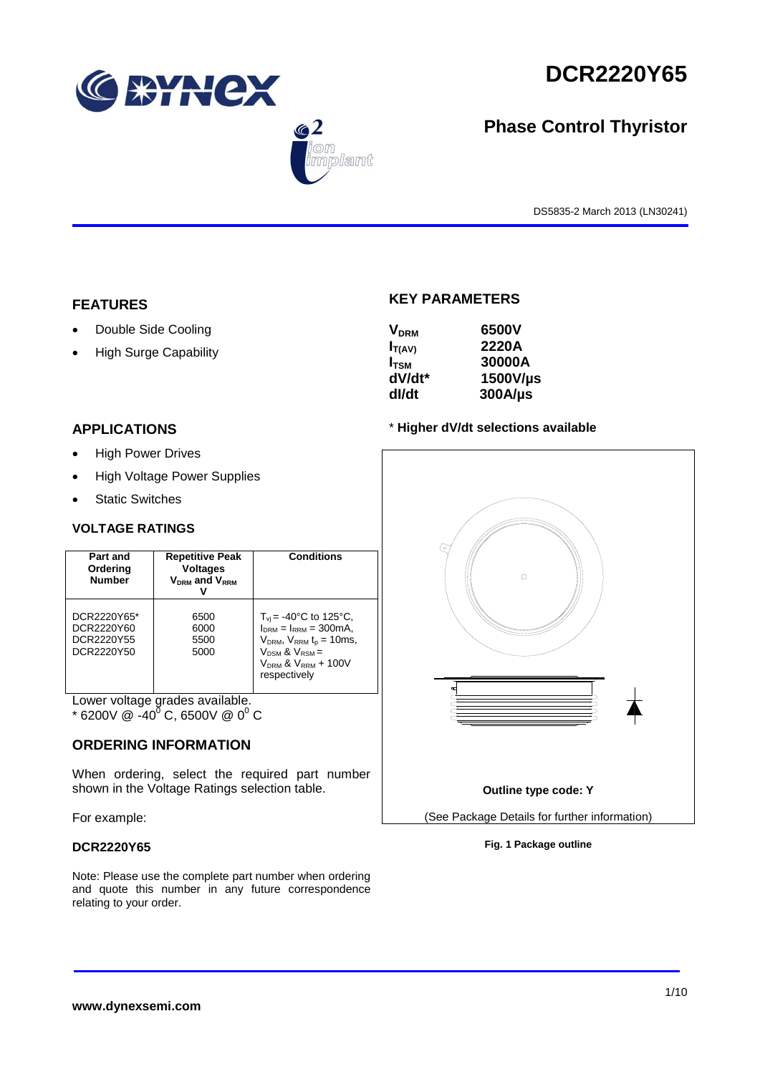





# **Phase Control Thyristor**

DS5835-2 March 2013 (LN30241)

# **FEATURES**

- Double Side Cooling
- High Surge Capability

# **APPLICATIONS**

- High Power Drives
- High Voltage Power Supplies
- Static Switches

# **VOLTAGE RATINGS**

| Part and<br>Ordering<br><b>Number</b>                 | <b>Repetitive Peak</b><br><b>Voltages</b><br>$V_{DRM}$ and $V_{RRM}$ | <b>Conditions</b>                                                                                                                                                                                  |
|-------------------------------------------------------|----------------------------------------------------------------------|----------------------------------------------------------------------------------------------------------------------------------------------------------------------------------------------------|
| DCR2220Y65*<br>DCR2220Y60<br>DCR2220Y55<br>DCR2220Y50 | 6500<br>6000<br>5500<br>5000                                         | $T_{\rm vi}$ = -40°C to 125°C,<br>$I_{DRM} = I_{RRM} = 300 \text{mA}$ ,<br>$V_{DRM}$ , $V_{RRM}$ t <sub>p</sub> = 10ms,<br>$V_{DSM}$ & $V_{RSM}$ =<br>$V_{DRM}$ & $V_{RRM}$ + 100V<br>respectively |

Lower voltage grades available.

 $*$  6200V @ -40<sup>0</sup> C, 6500V @ 0<sup>0</sup> C

# **ORDERING INFORMATION**

When ordering, select the required part number shown in the Voltage Ratings selection table.

For example:

# **DCR2220Y65**

Note: Please use the complete part number when ordering and quote this number in any future correspondence relating to your order.

# **KEY PARAMETERS**

| 6500V        |
|--------------|
| 2220A        |
| 30000A       |
| 1500V/µs     |
| $300A/\mu s$ |
|              |

## \* **Higher dV/dt selections available**



## **Fig. 1 Package outline**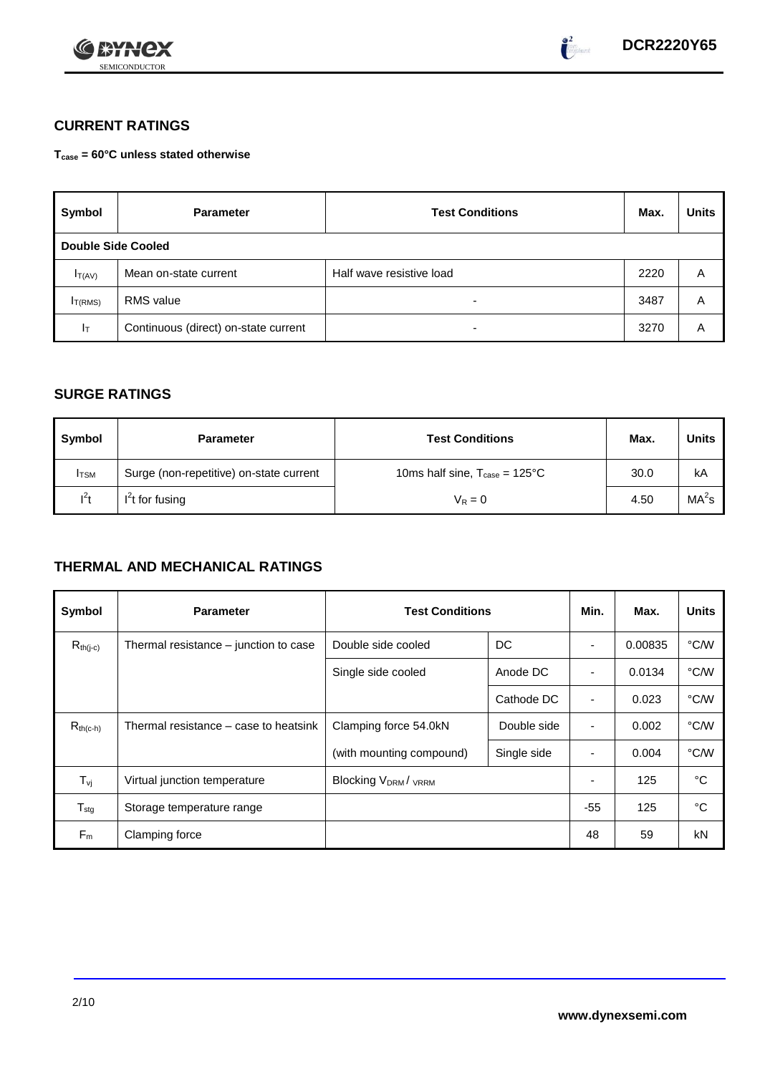



# **CURRENT RATINGS**

**Tcase = 60°C unless stated otherwise**

| Symbol              | <b>Parameter</b>                     | <b>Test Conditions</b>   | Max. | <b>Units</b> |
|---------------------|--------------------------------------|--------------------------|------|--------------|
| Double Side Cooled  |                                      |                          |      |              |
| $I_{T(AV)}$         | Mean on-state current                | Half wave resistive load | 2220 | A            |
| I <sub>T(RMS)</sub> | <b>RMS</b> value                     | -                        | 3487 | Α            |
| Iτ                  | Continuous (direct) on-state current | $\overline{\phantom{0}}$ | 3270 | Α            |

# **SURGE RATINGS**

| Symbol      | <b>Parameter</b>                        | <b>Test Conditions</b>                            | Max. | Units             |
|-------------|-----------------------------------------|---------------------------------------------------|------|-------------------|
| <b>ITSM</b> | Surge (non-repetitive) on-state current | 10ms half sine, $T_{\text{case}} = 125^{\circ}$ C | 30.0 | kA                |
| $l^2t$      | $I2t$ for fusing                        | $V_R = 0$                                         | 4.50 | MA <sup>2</sup> s |

# **THERMAL AND MECHANICAL RATINGS**

| Symbol                         | <b>Parameter</b>                      | <b>Test Conditions</b>                      |             | Min.           | Max.    | <b>Units</b> |
|--------------------------------|---------------------------------------|---------------------------------------------|-------------|----------------|---------|--------------|
| $R_{th(j-c)}$                  | Thermal resistance – junction to case | Double side cooled                          | DC          |                | 0.00835 | °C/W         |
|                                |                                       | Single side cooled                          | Anode DC    | ٠              | 0.0134  | °C/W         |
|                                |                                       |                                             | Cathode DC  | $\blacksquare$ | 0.023   | °C/W         |
| $R_{th(c-h)}$                  | Thermal resistance – case to heatsink | Clamping force 54.0kN                       | Double side | $\blacksquare$ | 0.002   | °C/W         |
|                                |                                       | (with mounting compound)                    | Single side |                | 0.004   | °C/W         |
| $T_{\rm\scriptscriptstyle VI}$ | Virtual junction temperature          | Blocking V <sub>DRM</sub> / <sub>VRRM</sub> |             |                | 125     | °C           |
| $T_{\text{stg}}$               | Storage temperature range             |                                             |             | $-55$          | 125     | °C           |
| $F_m$                          | Clamping force                        |                                             |             | 48             | 59      | kN           |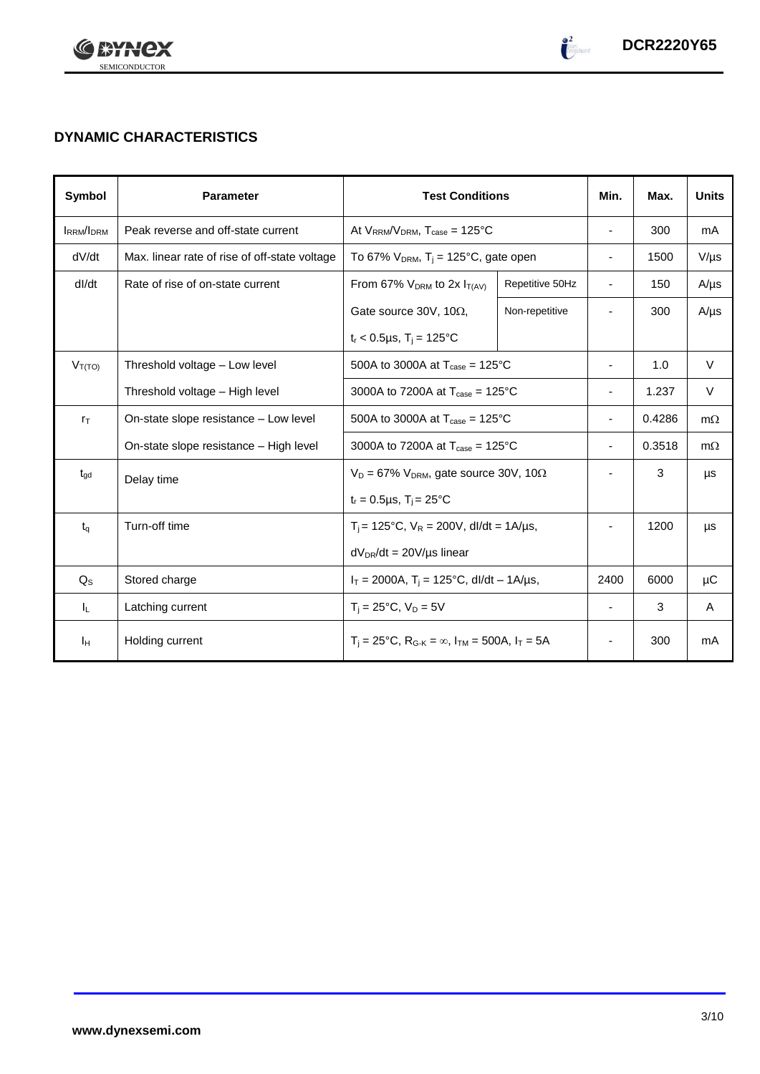

# **DYNAMIC CHARACTERISTICS**

| <b>Symbol</b>    | <b>Parameter</b>                              | <b>Test Conditions</b>                                                                          |                 | Min.                     | Max.   | <b>Units</b> |
|------------------|-----------------------------------------------|-------------------------------------------------------------------------------------------------|-----------------|--------------------------|--------|--------------|
| <b>IRRM/IDRM</b> | Peak reverse and off-state current            | At $V_{RRM}/V_{DRM}$ , $T_{case} = 125^{\circ}C$                                                |                 |                          | 300    | mA           |
| dV/dt            | Max. linear rate of rise of off-state voltage | To 67% $V_{DRM}$ , T <sub>i</sub> = 125°C, gate open                                            |                 | $\overline{\phantom{a}}$ | 1500   | $V/\mu s$    |
| dl/dt            | Rate of rise of on-state current              | From 67% $V_{DRM}$ to 2x $I_{T(AV)}$                                                            | Repetitive 50Hz | $\overline{\phantom{a}}$ | 150    | $A/\mu s$    |
|                  |                                               | Gate source 30V, 10 $\Omega$ ,                                                                  | Non-repetitive  |                          | 300    | $A/\mu s$    |
|                  |                                               | $t_r$ < 0.5µs, T <sub>i</sub> = 125°C                                                           |                 |                          |        |              |
| $V_{T(TO)}$      | Threshold voltage - Low level                 | 500A to 3000A at $T_{\text{case}} = 125^{\circ}$ C                                              |                 | $\overline{\phantom{a}}$ | 1.0    | $\vee$       |
|                  | Threshold voltage - High level                | 3000A to 7200A at $T_{\text{case}} = 125^{\circ}C$                                              |                 |                          | 1.237  | V            |
| $r_{\text{T}}$   | On-state slope resistance - Low level         | 500A to 3000A at $T_{\text{case}} = 125^{\circ}$ C                                              |                 | $\overline{\phantom{a}}$ | 0.4286 | $m\Omega$    |
|                  | On-state slope resistance – High level        | 3000A to 7200A at $T_{\text{case}} = 125^{\circ}C$                                              |                 | $\overline{\phantom{a}}$ | 0.3518 | $m\Omega$    |
| $t_{\rm gd}$     | Delay time                                    | $V_D = 67\% V_{DRM}$ , gate source 30V, 10 $\Omega$                                             |                 |                          | 3      | μs           |
|                  |                                               | $t_r = 0.5 \mu s$ , $T_i = 25^{\circ}C$                                                         |                 |                          |        |              |
| $t_q$            | Turn-off time                                 | $T_i$ = 125°C, $V_R$ = 200V, dl/dt = 1A/µs,                                                     |                 |                          | 1200   | μs           |
|                  |                                               | $dV_{DR}/dt = 20V/\mu s$ linear                                                                 |                 |                          |        |              |
| $Q_{S}$          | Stored charge                                 | $I_T = 2000A$ , $T_i = 125^{\circ}C$ , dl/dt – 1A/µs,                                           |                 | 2400                     | 6000   | μC           |
| IL.              | Latching current                              | $T_i = 25^{\circ}C$ , $V_D = 5V$                                                                |                 | $\blacksquare$           | 3      | A            |
| Iн               | Holding current                               | $T_i = 25^{\circ}C$ , R <sub>G-K</sub> = $\infty$ , I <sub>TM</sub> = 500A, I <sub>T</sub> = 5A |                 | $\overline{\phantom{a}}$ | 300    | mA           |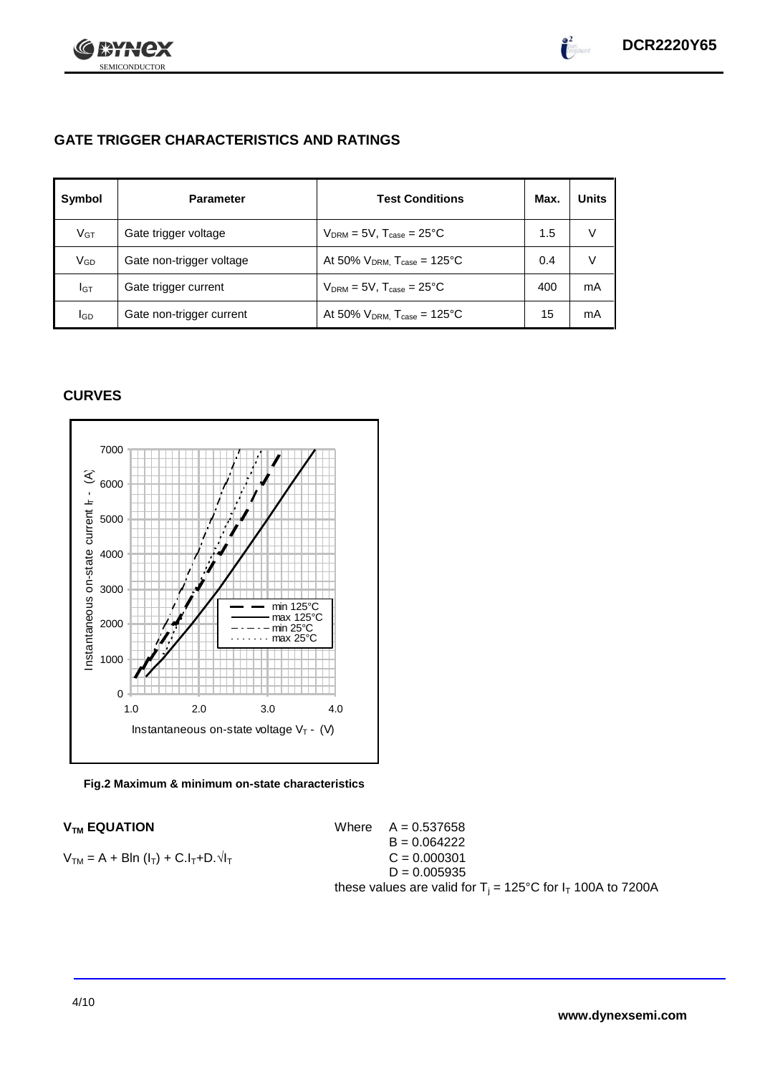

 $\int_0^2$ 

# **GATE TRIGGER CHARACTERISTICS AND RATINGS**

| Symbol          | <b>Parameter</b>         | <b>Test Conditions</b>                       | Max. | <b>Units</b> |
|-----------------|--------------------------|----------------------------------------------|------|--------------|
| V <sub>GT</sub> | Gate trigger voltage     | $V_{DRM} = 5V$ , $T_{case} = 25^{\circ}C$    | 1.5  | V            |
| VGD             | Gate non-trigger voltage | At 50% $V_{DRM}$ , $T_{case} = 125^{\circ}C$ | 0.4  | V            |
| IGТ             | Gate trigger current     | $V_{DRM}$ = 5V, $T_{case}$ = 25°C            | 400  | mA           |
| lgp             | Gate non-trigger current | At 50% $V_{DRM}$ , $T_{case} = 125^{\circ}C$ | 15   | mA           |

# **CURVES**



## **Fig.2 Maximum & minimum on-state characteristics**

 $V_{TM}$  **EQUATION** Where  $A = 0.537658$  $B = 0.064222$  $V_{TM} = A + B\ln(I_T) + C.I_T + D.\sqrt{I_T}$  C = 0.000301  $D = 0.005935$ these values are valid for  $T_i = 125^{\circ}$ C for  $I_T$  100A to 7200A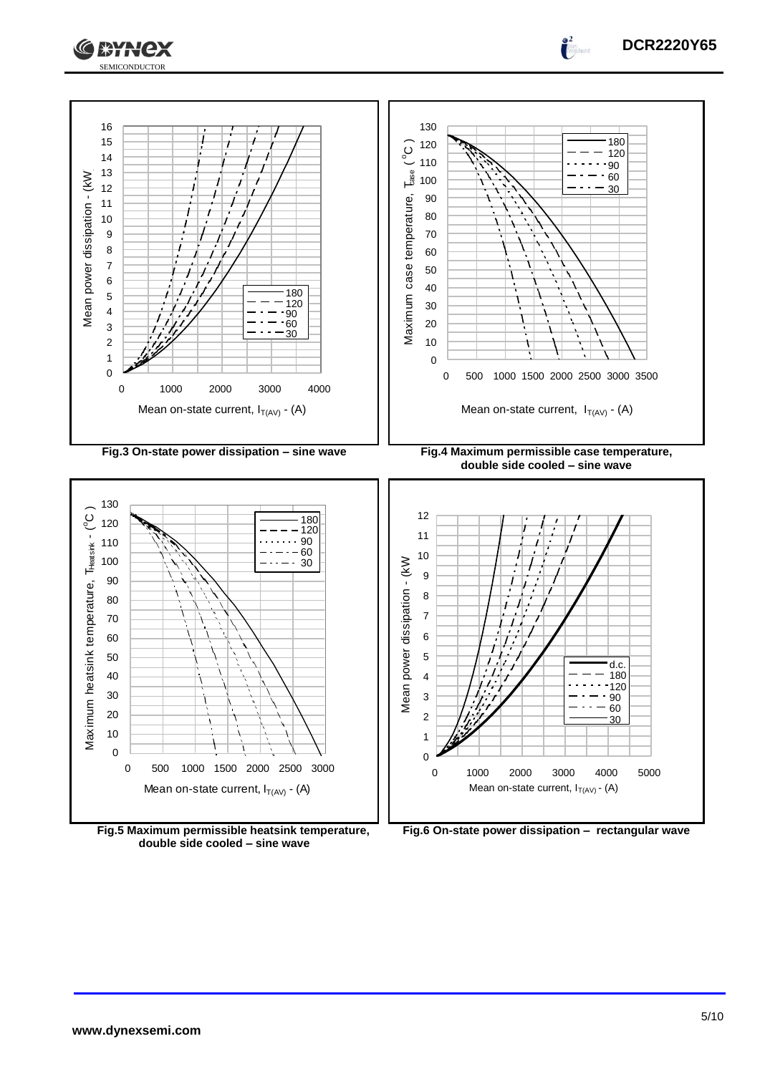



**Fig.5 Maximum permissible heatsink temperature, double side cooled – sine wave**



**DCR2220Y65**

 $\int_0^2$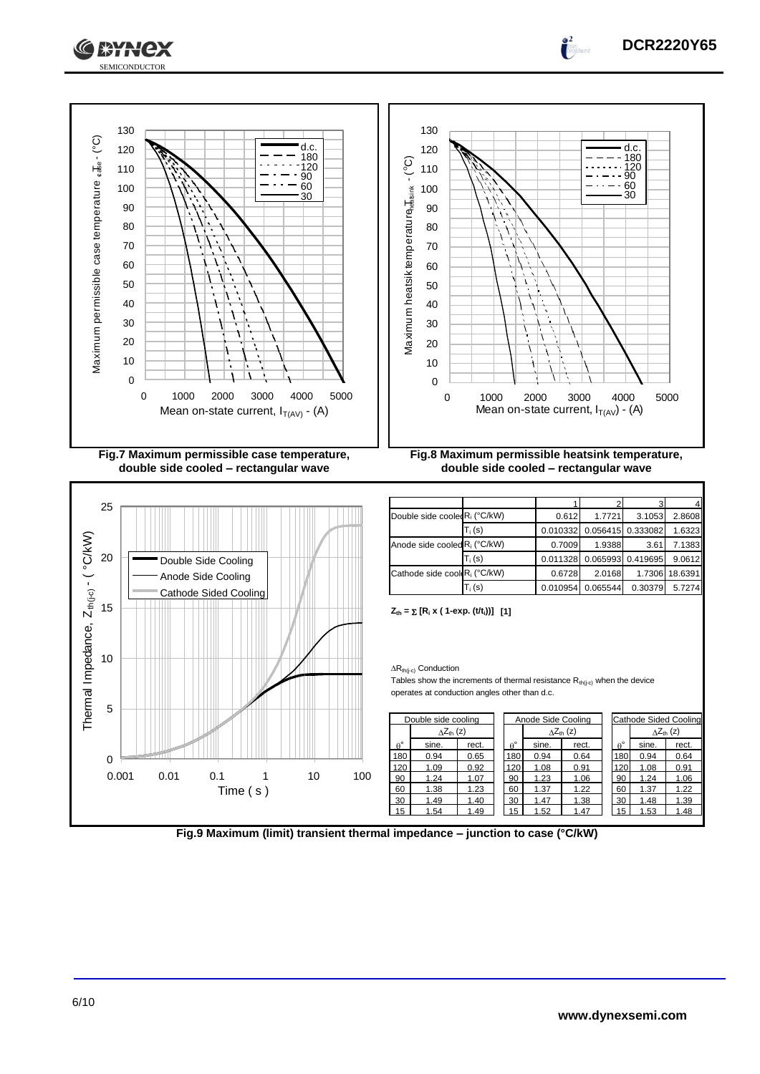



**Fig.9 Maximum (limit) transient thermal impedance – junction to case (°C/kW)**

**DCR2220Y65**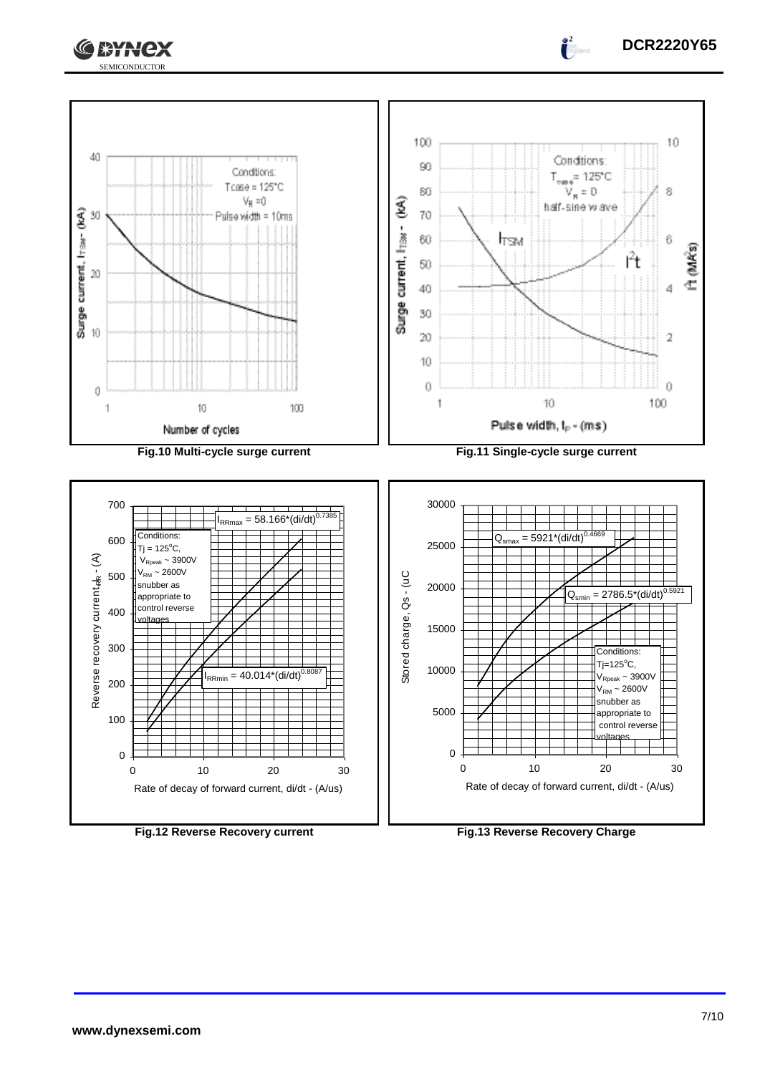





**DCR2220Y65**

 $\int_0^2$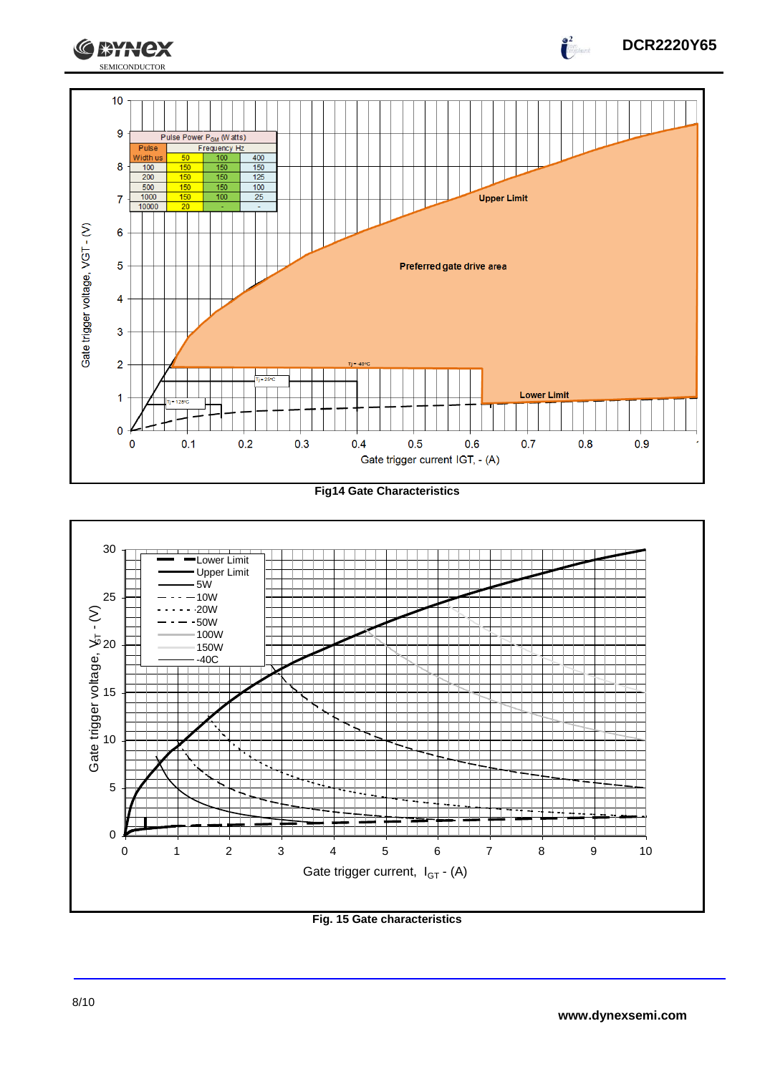

**Fig14 Gate Characteristics**



**Fig. 15 Gate characteristics**

**DCR2220Y65**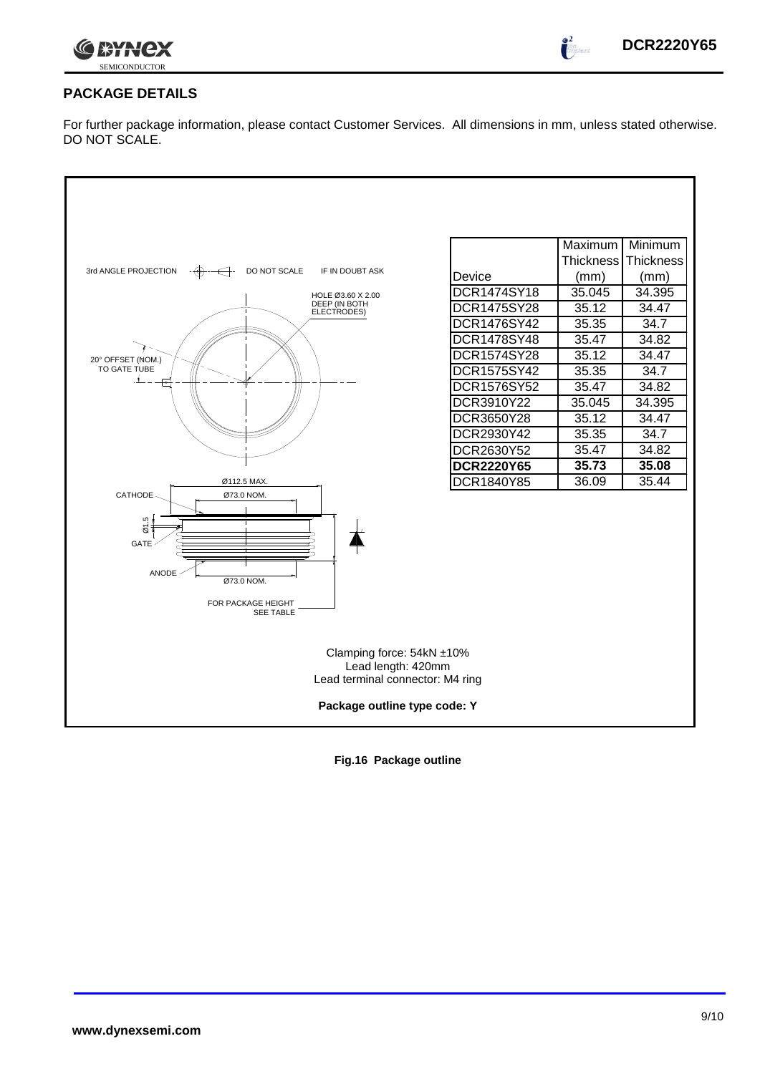

 $\int_0^2$ 

# **PACKAGE DETAILS**

For further package information, please contact Customer Services. All dimensions in mm, unless stated otherwise. DO NOT SCALE.



**Fig.16 Package outline**